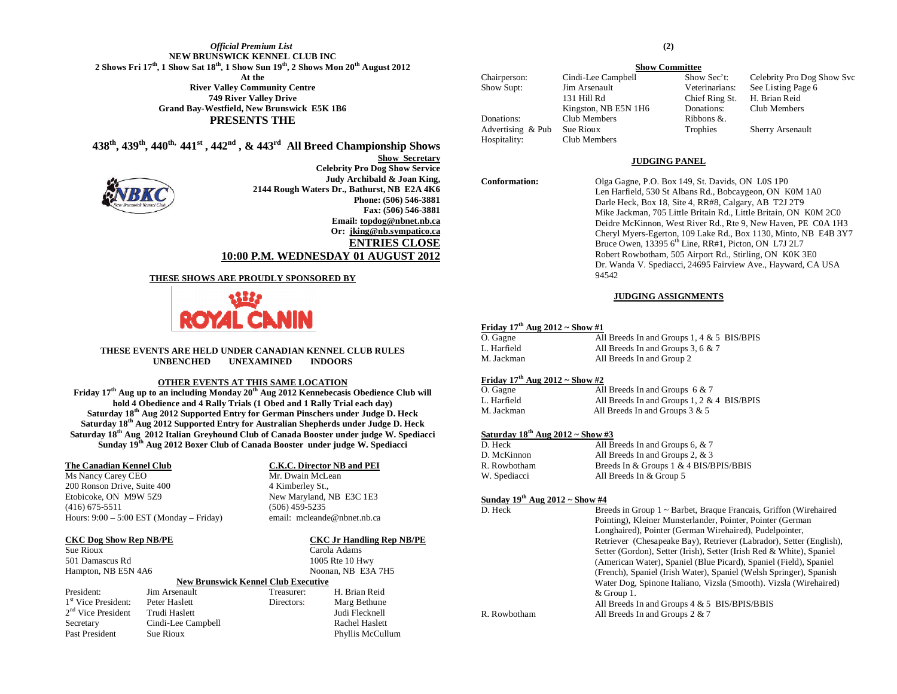#### *Official Premium List* **NEW BRUNSWICK KENNEL CLUB INC 2 Shows Fri 17th, 1 Show Sat 18th, 1 Show Sun 19th, 2 Shows Mon 20th August 2012 At the River Valley Community Centre 749 River Valley Drive Grand Bay-Westfield, New Brunswick E5K 1B6 PRESENTS THE**

**438th, 439th, 440th, 441st , 442nd , & 443rd All Breed Championship Shows**



**Show Secretary Celebrity Pro Dog Show Service Judy Archibald & Joan King, 2144 Rough Waters Dr., Bathurst, NB E2A 4K6 Phone: (506) 546-3881 Fax: (506) 546-3881 Email: [topdog@nbnet.nb.ca](mailto:topdog@nbnet.nb.cda) Or: [jking@nb.sympatico.ca](mailto:jking@nb.sympatico.ca) ENTRIES CLOSE 10:00 P.M. WEDNESDAY 01 AUGUST 2012**

#### **THESE SHOWS ARE PROUDLY SPONSORED BY**



#### **THESE EVENTS ARE HELD UNDER CANADIAN KENNEL CLUB RULES UNBENCHED UNEXAMINED INDOORS**

#### **OTHER EVENTS AT THIS SAME LOCATION**

**Friday 17th Aug up to an including Monday 20th Aug 2012 Kennebecasis Obedience Club will hold 4 Obedience and 4 Rally Trials (1 Obed and 1 Rally Trial each day) Saturday 18th Aug 2012 Supported Entry for German Pinschers under Judge D. Heck Saturday 18th Aug 2012 Supported Entry for Australian Shepherds under Judge D. Heck Saturday 18th Aug 2012 Italian Greyhound Club of Canada Booster under judge W. Spediacci Sunday 19th Aug 2012 Boxer Club of Canada Booster under judge W. Spediacci**

#### **The Canadian Kennel Club C.K.C. Director NB and PEI**

Ms Nancy Carey CEO Mr. Dwain McLean 200 Ronson Drive, Suite 400 4 Kimberley St., Etobicoke, ON M9W 5Z9 New Maryland, NB E3C 1E3 (416) 675-5511 (506) 459-5235 Hours: 9:00 – 5:00 EST (Monday – Friday) email: mcleande@nbnet.nb.ca

Sue Rioux Carola Adams

#### **CKC Dog Show Rep NB/PE CKC Jr Handling Rep NB/PE**

501 Damascus Rd 1005 Rte 10 Hwy Hampton, NB E5N 4A6 Noonan, NB E3A 7H5 **New Brunswick Kennel Club Executive**

|                       |                    | тей рганзика неши спо следните |                  |  |  |  |
|-----------------------|--------------------|--------------------------------|------------------|--|--|--|
| President:            | Jim Arsenault      | Treasurer:                     | H. Brian Reid    |  |  |  |
| $1st$ Vice President: | Peter Haslett      | Directors:                     | Marg Bethune     |  |  |  |
| $2nd$ Vice President  | Trudi Haslett      |                                | Judi Flecknell   |  |  |  |
| Secretary             | Cindi-Lee Campbell |                                | Rachel Haslett   |  |  |  |
| Past President        | Sue Rioux          |                                | Phyllis McCullum |  |  |  |

#### **(2)**

**Show Committee** Chairperson: Cindi-Lee Campbell Show Sec't: Celebrity Pro Dog Show Svc Show Supt: Jim Arsenault Veterinarians: See Listing Page 6 131 Hill Rd Chief Ring St. H. Brian Reid Kingston, NB E5N 1H6 Donations: Club Members Donations: Club Members Ribbons &. Advertising & Pub Sue Rioux Trophies Sherry Arsenault Hospitality: Club Members

#### **JUDGING PANEL**

**Conformation:** Olga Gagne, P.O. Box 149, St. Davids, ON L0S 1P0 Len Harfield, 530 St Albans Rd., Bobcaygeon, ON K0M 1A0 Darle Heck, Box 18, Site 4, RR#8, Calgary, AB T2J 2T9 Mike Jackman, 705 Little Britain Rd., Little Britain, ON K0M 2C0 Deidre McKinnon, West River Rd., Rte 9, New Haven, PE C0A 1H3 Cheryl Myers-Egerton, 109 Lake Rd., Box 1130, Minto, NB E4B 3Y7 Bruce Owen, 13395  $6<sup>th</sup>$  Line, RR#1, Picton, ON L7J 2L7 Robert Rowbotham, 505 Airport Rd., Stirling, ON K0K 3E0 Dr. Wanda V. Spediacci, 24695 Fairview Ave., Hayward, CA USA 94542

#### **JUDGING ASSIGNMENTS**

#### **Friday 17th Aug 2012 ~ Show #1**

| O. Gagne    | All Breeds In and Groups 1, 4 $& 5$ BIS/BPIS |  |
|-------------|----------------------------------------------|--|
| L. Harfield | All Breeds In and Groups 3, 6 $& 7$          |  |
| M. Jackman  | All Breeds In and Group 2                    |  |

#### **Friday 17th Aug 2012 ~ Show #2**

| O. Gagne    | All Breeds In and Groups $6 & 7$              |  |
|-------------|-----------------------------------------------|--|
| L. Harfield | All Breeds In and Groups $1, 2 \& 4$ BIS/BPIS |  |
| M. Jackman  | All Breeds In and Groups $3 & 5$              |  |

#### **Saturday 18th Aug 2012 ~ Show #3**

| D. Heck      | All Breeds In and Groups 6, & 7        |
|--------------|----------------------------------------|
| D. McKinnon  | All Breeds In and Groups 2, & 3        |
| R. Rowbotham | Breeds In & Groups 1 & 4 BIS/BPIS/BBIS |
| W. Spediacci | All Breeds In & Group 5                |

#### **Sunday 19th Aug 2012 ~ Show #4**

| D. Heck      | Breeds in Group 1 ~ Barbet, Braque Francais, Griffon (Wirehaired     |
|--------------|----------------------------------------------------------------------|
|              | Pointing), Kleiner Munsterlander, Pointer, Pointer (German)          |
|              | Longhaired), Pointer (German Wirehaired), Pudelpointer,              |
|              | Retriever (Chesapeake Bay), Retriever (Labrador), Setter (English),  |
|              | Setter (Gordon), Setter (Irish), Setter (Irish Red & White), Spaniel |
|              | (American Water), Spaniel (Blue Picard), Spaniel (Field), Spaniel    |
|              | (French), Spaniel (Irish Water), Spaniel (Welsh Springer), Spanish   |
|              | Water Dog, Spinone Italiano, Vizsla (Smooth). Vizsla (Wirehaired)    |
|              | $&$ Group 1.                                                         |
|              | All Breeds In and Groups $4 \& 5$ BIS/BPIS/BBIS                      |
| R. Rowbotham | All Breeds In and Groups $2 & 7$                                     |
|              |                                                                      |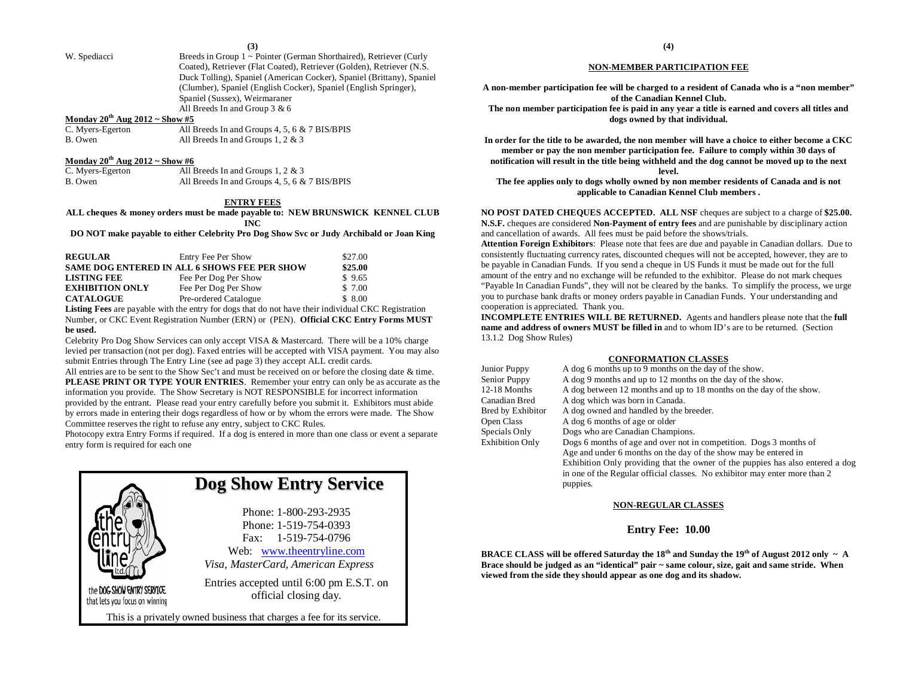**(3)**

W. Spediacci Breeds in Group 1 ~ Pointer (German Shorthaired), Retriever (Curly Coated), Retriever (Flat Coated), Retriever (Golden), Retriever (N.S. Duck Tolling), Spaniel (American Cocker), Spaniel (Brittany), Spaniel (Clumber), Spaniel (English Cocker), Spaniel (English Springer), Spaniel (Sussex), Weirmaraner All Breeds In and Group 3 & 6

#### **Monday 20th Aug 2012 ~ Show #5**

| C. Myers-Egerton | All Breeds In and Groups 4, 5, 6 & 7 BIS/BPIS |
|------------------|-----------------------------------------------|
| B. Owen          | All Breeds In and Groups 1, 2 & 3             |

#### **Monday 20th Aug 2012 ~ Show #6**

| C. Myers-Egerton | All Breeds In and Groups $1, 2 \& 3$          |
|------------------|-----------------------------------------------|
| B. Owen          | All Breeds In and Groups 4, 5, 6 & 7 BIS/BPIS |

#### **ENTRY FEES**

**ALL cheques & money orders must be made payable to: NEW BRUNSWICK KENNEL CLUB INC**

**DO NOT make payable to either Celebrity Pro Dog Show Svc or Judy Archibald or Joan King**

| <b>REGULAR</b>         | Entry Fee Per Show                                  | \$27.00 |
|------------------------|-----------------------------------------------------|---------|
|                        | <b>SAME DOG ENTERED IN ALL 6 SHOWS FEE PER SHOW</b> | \$25.00 |
| <b>LISTING FEE</b>     | Fee Per Dog Per Show                                | \$9.65  |
| <b>EXHIBITION ONLY</b> | Fee Per Dog Per Show                                | \$ 7.00 |
| <b>CATALOGUE</b>       | Pre-ordered Catalogue                               | \$8.00  |

**Listing Fees** are payable with the entry for dogs that do not have their individual CKC Registration Number, or CKC Event Registration Number (ERN) or (PEN). **Official CKC Entry Forms MUST be used.**

Celebrity Pro Dog Show Services can only accept VISA & Mastercard. There will be a 10% charge levied per transaction (not per dog). Faxed entries will be accepted with VISA payment. You may also submit Entries through The Entry Line (see ad page 3) they accept ALL credit cards.

All entries are to be sent to the Show Sec't and must be received on or before the closing date & time. **PLEASE PRINT OR TYPE YOUR ENTRIES**. Remember your entry can only be as accurate as the information you provide. The Show Secretary is NOT RESPONSIBLE for incorrect information provided by the entrant. Please read your entry carefully before you submit it. Exhibitors must abide by errors made in entering their dogs regardless of how or by whom the errors were made. The Show Committee reserves the right to refuse any entry, subject to CKC Rules.

Photocopy extra Entry Forms if required. If a dog is entered in more than one class or event a separate entry form is required for each one



## **Dog Show Entry Service**

Phone: 1-800-293-2935 Phone: 1-519-754-0393 Fax: 1-519-754-0796 Web: [www.theentryline.com](http://www.theentryline.com/) *Visa, MasterCard, American Express*

Entries accepted until 6:00 pm E.S.T. on official closing day.

This is a privately owned business that charges a fee for its service.

#### **NON-MEMBER PARTICIPATION FEE**

**A non-member participation fee will be charged to a resident of Canada who is a "non member" of the Canadian Kennel Club.**

**The non member participation fee is paid in any year a title is earned and covers all titles and dogs owned by that individual.**

**In order for the title to be awarded, the non member will have a choice to either become a CKC member or pay the non member participation fee. Failure to comply within 30 days of notification will result in the title being withheld and the dog cannot be moved up to the next level.**

**The fee applies only to dogs wholly owned by non member residents of Canada and is not applicable to Canadian Kennel Club members .**

**NO POST DATED CHEQUES ACCEPTED. ALL NSF** cheques are subject to a charge of **\$25.00. N.S.F.** cheques are considered **Non-Payment of entry fees** and are punishable by disciplinary action and cancellation of awards. All fees must be paid before the shows/trials.

**Attention Foreign Exhibitors**: Please note that fees are due and payable in Canadian dollars. Due to consistently fluctuating currency rates, discounted cheques will not be accepted, however, they are to be payable in Canadian Funds. If you send a cheque in US Funds it must be made out for the full amount of the entry and no exchange will be refunded to the exhibitor. Please do not mark cheques "Payable In Canadian Funds", they will not be cleared by the banks. To simplify the process, we urge you to purchase bank drafts or money orders payable in Canadian Funds. Your understanding and cooperation is appreciated. Thank you.

**INCOMPLETE ENTRIES WILL BE RETURNED.** Agents and handlers please note that the **full name and address of owners MUST be filled in** and to whom ID's are to be returned. (Section 13.1.2 Dog Show Rules)

#### **CONFORMATION CLASSES**

| A dog 6 months up to 9 months on the day of the show.                          |
|--------------------------------------------------------------------------------|
| A dog 9 months and up to 12 months on the day of the show.                     |
| A dog between 12 months and up to 18 months on the day of the show.            |
| A dog which was born in Canada.                                                |
| A dog owned and handled by the breeder.                                        |
| A dog 6 months of age or older                                                 |
| Dogs who are Canadian Champions.                                               |
| Dogs 6 months of age and over not in competition. Dogs 3 months of             |
| Age and under 6 months on the day of the show may be entered in                |
| Exhibition Only providing that the owner of the puppies has also entered a dog |
| in one of the Regular official classes. No exhibitor may enter more than 2     |
| puppies.                                                                       |
|                                                                                |

#### **NON-REGULAR CLASSES**

#### **Entry Fee: 10.00**

**BRACE CLASS will be offered Saturday the**  $18<sup>th</sup>$  **and Sunday the**  $19<sup>th</sup>$  **of August 2012 only**  $\sim$  **A Brace should be judged as an "identical" pair ~ same colour, size, gait and same stride. When viewed from the side they should appear as one dog and its shadow.**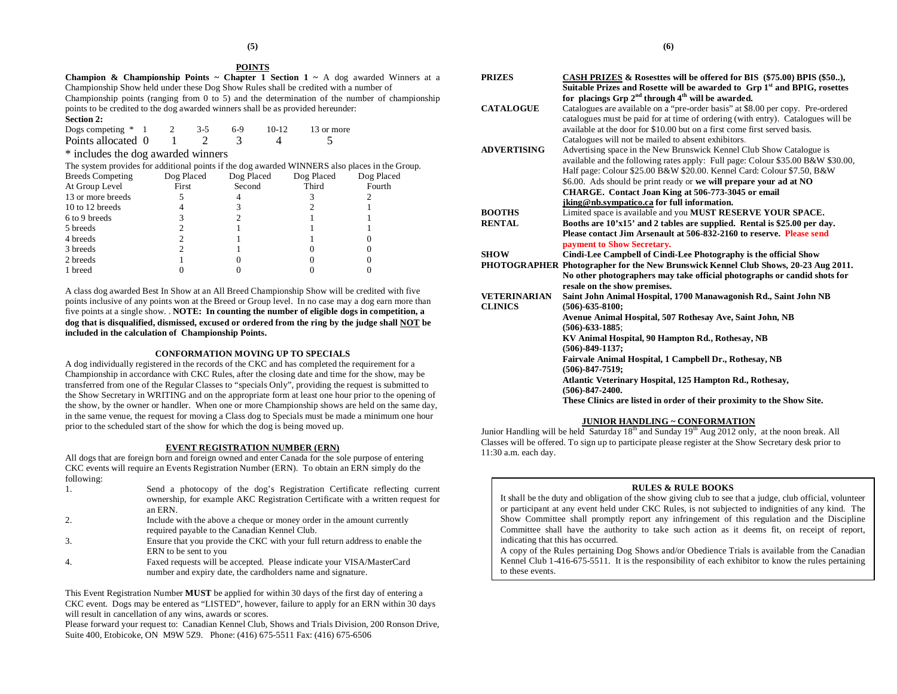#### **POINTS**

| <b>Champion &amp; Championship Points ~ Chapter 1 Section 1 ~ A</b> dog awarded Winners at a  |
|-----------------------------------------------------------------------------------------------|
| Championship Show held under these Dog Show Rules shall be credited with a number of          |
| Championship points (ranging from 0 to 5) and the determination of the number of championship |
| points to be credited to the dog awarded winners shall be as provided hereunder.              |
| <b>Section 2:</b>                                                                             |

| Dogs competing $*$ 1 |  | -3-5 | 6-9 | $10-12$ | 13 or more |
|----------------------|--|------|-----|---------|------------|
| Points allocated 0   |  |      |     |         |            |

\* includes the dog awarded winners

The system provides for additional points if the dog awarded WINNERS also places in the Group.

| <b>Breeds Competing</b> | Dog Placed | Dog Placed | Dog Placed | Dog Placed |
|-------------------------|------------|------------|------------|------------|
| At Group Level          | First      | Second     | Third      | Fourth     |
| 13 or more breeds       |            |            |            |            |
| 10 to 12 breeds         |            |            |            |            |
| 6 to 9 breeds           |            |            |            |            |
| 5 breeds                |            |            |            |            |
| 4 breeds                |            |            |            |            |
| 3 breeds                |            |            |            |            |
| 2 breeds                |            |            |            |            |
| 1 breed                 |            |            |            |            |

A class dog awarded Best In Show at an All Breed Championship Show will be credited with five points inclusive of any points won at the Breed or Group level. In no case may a dog earn more than five points at a single show. . **NOTE: In counting the number of eligible dogs in competition, a dog that is disqualified, dismissed, excused or ordered from the ring by the judge shall NOT be included in the calculation of Championship Points.**

#### **CONFORMATION MOVING UP TO SPECIALS**

A dog individually registered in the records of the CKC and has completed the requirement for a Championship in accordance with CKC Rules, after the closing date and time for the show, may be transferred from one of the Regular Classes to "specials Only", providing the request is submitted to the Show Secretary in WRITING and on the appropriate form at least one hour prior to the opening of the show, by the owner or handler. When one or more Championship shows are held on the same day, in the same venue, the request for moving a Class dog to Specials must be made a minimum one hour prior to the scheduled start of the show for which the dog is being moved up.

#### **EVENT REGISTRATION NUMBER (ERN)**

All dogs that are foreign born and foreign owned and enter Canada for the sole purpose of entering CKC events will require an Events Registration Number (ERN). To obtain an ERN simply do the following:

| Send a photocopy of the dog's Registration Certificate reflecting current      |
|--------------------------------------------------------------------------------|
| ownership, for example AKC Registration Certificate with a written request for |
| an ERN.                                                                        |
|                                                                                |

- 2. Include with the above a cheque or money order in the amount currently required payable to the Canadian Kennel Club.
- 3. Ensure that you provide the CKC with your full return address to enable the ERN to be sent to you
- 4. Faxed requests will be accepted. Please indicate your VISA/MasterCard number and expiry date, the cardholders name and signature.

This Event Registration Number **MUST** be applied for within 30 days of the first day of entering a CKC event. Dogs may be entered as "LISTED", however, failure to apply for an ERN within 30 days will result in cancellation of any wins, awards or scores.

Please forward your request to: Canadian Kennel Club, Shows and Trials Division, 200 Ronson Drive, Suite 400, Etobicoke, ON M9W 5Z9. Phone: (416) 675-5511 Fax: (416) 675-6506

| <b>PRIZES</b>       | CASH PRIZES & Rosesttes will be offered for BIS (\$75.00) BPIS (\$50),                |  |  |  |  |
|---------------------|---------------------------------------------------------------------------------------|--|--|--|--|
|                     | Suitable Prizes and Rosette will be awarded to Grp 1 <sup>st</sup> and BPIG, rosettes |  |  |  |  |
|                     | for placings Grp $2^{nd}$ through $4^{th}$ will be awarded.                           |  |  |  |  |
| <b>CATALOGUE</b>    | Catalogues are available on a "pre-order basis" at \$8.00 per copy. Pre-ordered       |  |  |  |  |
|                     | catalogues must be paid for at time of ordering (with entry). Catalogues will be      |  |  |  |  |
|                     | available at the door for \$10.00 but on a first come first served basis.             |  |  |  |  |
|                     | Catalogues will not be mailed to absent exhibitors.                                   |  |  |  |  |
| <b>ADVERTISING</b>  | Advertising space in the New Brunswick Kennel Club Show Catalogue is                  |  |  |  |  |
|                     | available and the following rates apply: Full page: Colour \$35.00 B&W \$30.00,       |  |  |  |  |
|                     | Half page: Colour \$25.00 B&W \$20.00. Kennel Card: Colour \$7.50, B&W                |  |  |  |  |
|                     | \$6.00. Ads should be print ready or we will prepare your ad at NO                    |  |  |  |  |
|                     | CHARGE. Contact Joan King at 506-773-3045 or email                                    |  |  |  |  |
|                     | jking@nb.sympatico.ca for full information.                                           |  |  |  |  |
| <b>BOOTHS</b>       | Limited space is available and you MUST RESERVE YOUR SPACE.                           |  |  |  |  |
| <b>RENTAL</b>       | Booths are 10'x15' and 2 tables are supplied. Rental is \$25.00 per day.              |  |  |  |  |
|                     | Please contact Jim Arsenault at 506-832-2160 to reserve. Please send                  |  |  |  |  |
|                     | payment to Show Secretary.                                                            |  |  |  |  |
| <b>SHOW</b>         | Cindi-Lee Campbell of Cindi-Lee Photography is the official Show                      |  |  |  |  |
|                     | PHOTOGRAPHER Photographer for the New Brunswick Kennel Club Shows, 20-23 Aug 2011.    |  |  |  |  |
|                     | No other photographers may take official photographs or candid shots for              |  |  |  |  |
|                     | resale on the show premises.                                                          |  |  |  |  |
| <b>VETERINARIAN</b> | Saint John Animal Hospital, 1700 Manawagonish Rd., Saint John NB                      |  |  |  |  |
| <b>CLINICS</b>      | $(506) - 635 - 8100$ ;                                                                |  |  |  |  |
|                     | Avenue Animal Hospital, 507 Rothesay Ave, Saint John, NB                              |  |  |  |  |
|                     | $(506) - 633 - 1885;$                                                                 |  |  |  |  |
|                     | KV Animal Hospital, 90 Hampton Rd., Rothesay, NB                                      |  |  |  |  |
|                     | $(506) - 849 - 1137$ :                                                                |  |  |  |  |
|                     | Fairvale Animal Hospital, 1 Campbell Dr., Rothesay, NB                                |  |  |  |  |
|                     | $(506) - 847 - 7519$ ;                                                                |  |  |  |  |
|                     | Atlantic Veterinary Hospital, 125 Hampton Rd., Rothesay,                              |  |  |  |  |
|                     | $(506) - 847 - 2400.$                                                                 |  |  |  |  |
|                     | These Clinics are listed in order of their proximity to the Show Site.                |  |  |  |  |

#### **JUNIOR HANDLING ~ CONFORMATION**

Junior Handling will be held Saturday  $18<sup>th</sup>$  and Sunday  $19<sup>th</sup>$  Aug 2012 only, at the noon break. All Classes will be offered. To sign up to participate please register at the Show Secretary desk prior to 11:30 a.m. each day.

#### **RULES & RULE BOOKS**

It shall be the duty and obligation of the show giving club to see that a judge, club official, volunteer or participant at any event held under CKC Rules, is not subjected to indignities of any kind. The Show Committee shall promptly report any infringement of this regulation and the Discipline Committee shall have the authority to take such action as it deems fit, on receipt of report, indicating that this has occurred.

A copy of the Rules pertaining Dog Shows and/or Obedience Trials is available from the Canadian Kennel Club 1-416-675-5511. It is the responsibility of each exhibitor to know the rules pertaining to these events.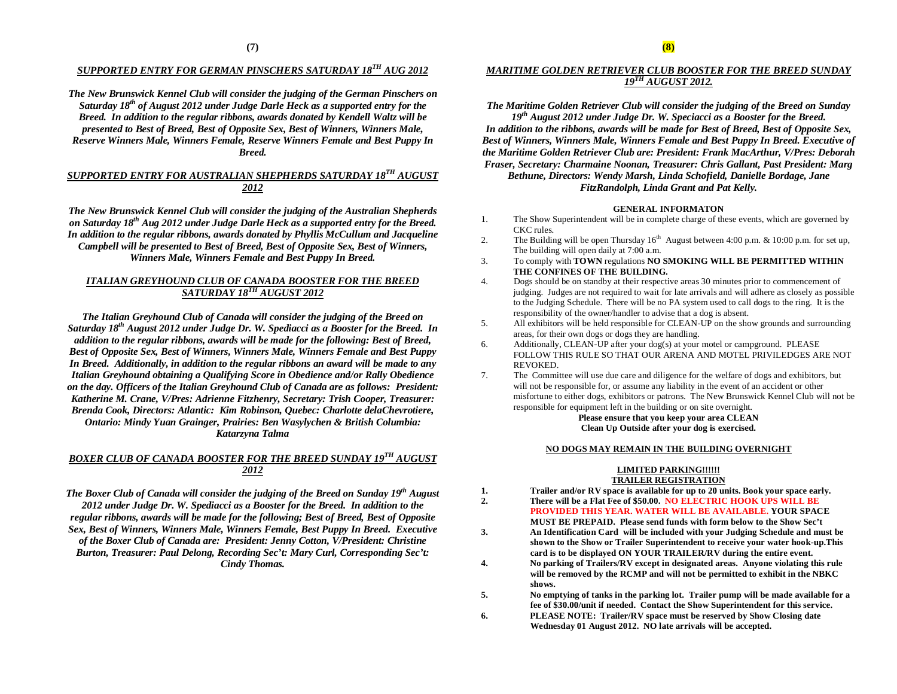## *SUPPORTED ENTRY FOR GERMAN PINSCHERS SATURDAY 18TH AUG 2012*

*The New Brunswick Kennel Club will consider the judging of the German Pinschers on Saturday 18th of August 2012 under Judge Darle Heck as a supported entry for the Breed. In addition to the regular ribbons, awards donated by Kendell Waltz will be presented to Best of Breed, Best of Opposite Sex, Best of Winners, Winners Male, Reserve Winners Male, Winners Female, Reserve Winners Female and Best Puppy In Breed.*

### *SUPPORTED ENTRY FOR AUSTRALIAN SHEPHERDS SATURDAY 18TH AUGUST 2012*

*The New Brunswick Kennel Club will consider the judging of the Australian Shepherds on Saturday 18th Aug 2012 under Judge Darle Heck as a supported entry for the Breed. In addition to the regular ribbons, awards donated by Phyllis McCullum and Jacqueline Campbell will be presented to Best of Breed, Best of Opposite Sex, Best of Winners, Winners Male, Winners Female and Best Puppy In Breed.*

#### *ITALIAN GREYHOUND CLUB OF CANADA BOOSTER FOR THE BREED SATURDAY 18TH AUGUST 2012*

*The Italian Greyhound Club of Canada will consider the judging of the Breed on Saturday 18th August 2012 under Judge Dr. W. Spediacci as a Booster for the Breed. In addition to the regular ribbons, awards will be made for the following: Best of Breed, Best of Opposite Sex, Best of Winners, Winners Male, Winners Female and Best Puppy In Breed. Additionally, in addition to the regular ribbons an award will be made to any Italian Greyhound obtaining a Qualifying Score in Obedience and/or Rally Obedience on the day. Officers of the Italian Greyhound Club of Canada are as follows: President: Katherine M. Crane, V/Pres: Adrienne Fitzhenry, Secretary: Trish Cooper, Treasurer: Brenda Cook, Directors: Atlantic: Kim Robinson, Quebec: Charlotte delaChevrotiere, Ontario: Mindy Yuan Grainger, Prairies: Ben Wasylychen & British Columbia: Katarzyna Talma*

### *BOXER CLUB OF CANADA BOOSTER FOR THE BREED SUNDAY 19TH AUGUST 2012*

*The Boxer Club of Canada will consider the judging of the Breed on Sunday 19th August 2012 under Judge Dr. W. Spediacci as a Booster for the Breed. In addition to the regular ribbons, awards will be made for the following; Best of Breed, Best of Opposite Sex, Best of Winners, Winners Male, Winners Female, Best Puppy In Breed. Executive of the Boxer Club of Canada are: President: Jenny Cotton, V/President: Christine Burton, Treasurer: Paul Delong, Recording Sec't: Mary Curl, Corresponding Sec't: Cindy Thomas.*

#### *MARITIME GOLDEN RETRIEVER CLUB BOOSTER FOR THE BREED SUNDAY 19TH AUGUST 2012.*

*The Maritime Golden Retriever Club will consider the judging of the Breed on Sunday 19th August 2012 under Judge Dr. W. Speciacci as a Booster for the Breed. In addition to the ribbons, awards will be made for Best of Breed, Best of Opposite Sex, Best of Winners, Winners Male, Winners Female and Best Puppy In Breed. Executive of the Maritime Golden Retriever Club are: President: Frank MacArthur, V/Pres: Deborah Fraser, Secretary: Charmaine Noonan, Treasurer: Chris Gallant, Past President: Marg Bethune, Directors: Wendy Marsh, Linda Schofield, Danielle Bordage, Jane*

#### *FitzRandolph, Linda Grant and Pat Kelly.*

#### **GENERAL INFORMATON**

- 1. The Show Superintendent will be in complete charge of these events, which are governed by CKC rules.
- 2. The Building will be open Thursday  $16<sup>th</sup>$  August between 4:00 p.m. & 10:00 p.m. for set up, The building will open daily at 7:00 a.m.
- 3. To comply with **TOWN** regulations **NO SMOKING WILL BE PERMITTED WITHIN THE CONFINES OF THE BUILDING.**
- 4. Dogs should be on standby at their respective areas 30 minutes prior to commencement of judging. Judges are not required to wait for late arrivals and will adhere as closely as possible to the Judging Schedule. There will be no PA system used to call dogs to the ring. It is the responsibility of the owner/handler to advise that a dog is absent.
- 5. All exhibitors will be held responsible for CLEAN-UP on the show grounds and surrounding areas, for their own dogs or dogs they are handling.
- 6. Additionally, CLEAN-UP after your dog(s) at your motel or campground. PLEASE FOLLOW THIS RULE SO THAT OUR ARENA AND MOTEL PRIVILEDGES ARE NOT REVOKED.
- 7. The Committee will use due care and diligence for the welfare of dogs and exhibitors, but will not be responsible for, or assume any liability in the event of an accident or other misfortune to either dogs, exhibitors or patrons. The New Brunswick Kennel Club will not be responsible for equipment left in the building or on site overnight.

#### **Please ensure that you keep your area CLEAN Clean Up Outside after your dog is exercised.**

#### **NO DOGS MAY REMAIN IN THE BUILDING OVERNIGHT**

#### **LIMITED PARKING!!!!!! TRAILER REGISTRATION**

- **1. Trailer and/or RV space is available for up to 20 units. Book your space early.**
- **2. There will be a Flat Fee of \$50.00. NO ELECTRIC HOOK UPS WILL BE**

**PROVIDED THIS YEAR. WATER WILL BE AVAILABLE. YOUR SPACE**

- **MUST BE PREPAID. Please send funds with form below to the Show Sec't 3. An Identification Card will be included with your Judging Schedule and must be shown to the Show or Trailer Superintendent to receive your water hook-up.This card is to be displayed ON YOUR TRAILER/RV during the entire event.**
- **4. No parking of Trailers/RV except in designated areas. Anyone violating this rule will be removed by the RCMP and will not be permitted to exhibit in the NBKC shows.**
- **5. No emptying of tanks in the parking lot. Trailer pump will be made available for a fee of \$30.00/unit if needed. Contact the Show Superintendent for this service.**
- **6. PLEASE NOTE: Trailer/RV space must be reserved by Show Closing date Wednesday 01 August 2012. NO late arrivals will be accepted.**